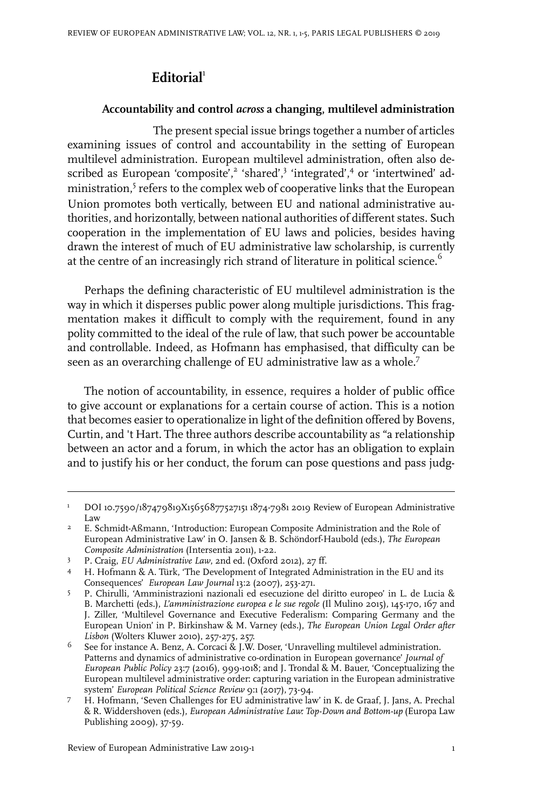## **Editorial**<sup>1</sup>

## **Accountability and control** *across* **a changing, multilevel administration**

The present special issue brings together a number of articles examining issues of control and accountability in the setting of European multilevel administration. European multilevel administration, often also described as European 'composite',<sup>2</sup> 'shared',<sup>3</sup> 'integrated',<sup>4</sup> or 'intertwined' administration,<sup>5</sup> refers to the complex web of cooperative links that the European Union promotes both vertically, between EU and national administrative authorities, and horizontally, between national authorities of different states. Such cooperation in the implementation of EU laws and policies, besides having drawn the interest of much of EU administrative law scholarship, is currently at the centre of an increasingly rich strand of literature in political science.<sup>6</sup>

Perhaps the defining characteristic of EU multilevel administration is the way in which it disperses public power along multiple jurisdictions. This fragmentation makes it difficult to comply with the requirement, found in any polity committed to the ideal of the rule of law, that such power be accountable and controllable. Indeed, as Hofmann has emphasised, that difficulty can be seen as an overarching challenge of EU administrative law as a whole.<sup>7</sup>

The notion of accountability, in essence, requires a holder of public office to give account or explanations for a certain course of action. This is a notion that becomes easier to operationalize in light of the definition offered by Bovens, Curtin, and 't Hart. The three authors describe accountability as "a relationship between an actor and a forum, in which the actor has an obligation to explain and to justify his or her conduct, the forum can pose questions and pass judg-

DOI10.7590/187479819X15656877527151 1874-7981 2019 Review of European Administrative Law 1

E. Schmidt-Aßmann, 'Introduction: European Composite Administration and the Role of European Administrative Law' in O. Jansen & B. Schöndorf-Haubold (eds.), *The European Composite Administration* (Intersentia 2011), 1-22. 2

P. Craig, *EU Administrative Law*, 2nd ed. (Oxford 2012), 27 ff. <sup>3</sup>

<sup>4</sup> H. Hofmann & A. Türk, 'The Development of Integrated Administration in the EU and its Consequences' *European Law Journal* 13:2 (2007), 253-271.

P. Chirulli, 'Amministrazioni nazionali ed esecuzione del diritto europeo' in L. de Lucia & B. Marchetti (eds.), *L'amministrazione europea e le sue regole* (Il Mulino 2015), 145-170, 167 and 5 J. Ziller, 'Multilevel Governance and Executive Federalism: Comparing Germany and the European Union' in P. Birkinshaw & M. Varney (eds.), *The European Union Legal Order after Lisbon* (Wolters Kluwer 2010), 257-275, 257.

See for instance A. Benz, A. Corcaci & J.W. Doser, 'Unravelling multilevel administration. Patterns and dynamics of administrative co-ordination in European governance' *Journal of* 6 *European Public Policy* 23:7 (2016), 999-1018; and J. Trondal & M. Bauer, 'Conceptualizing the European multilevel administrative order: capturing variation in the European administrative system' *European Political Science Review* 9:1 (2017), 73-94.

H. Hofmann, 'Seven Challenges for EU administrative law' in K. de Graaf, J. Jans, A. Prechal & R. Widdershoven (eds.), *European Administrative Law: Top-Down and Bottom-up* (Europa Law Publishing 2009), 37-59. 7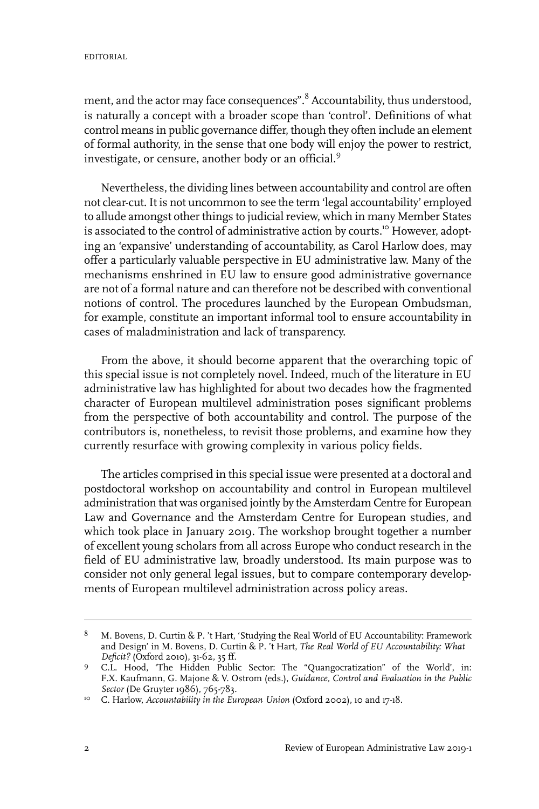ment, and the actor may face consequences".<sup>8</sup> Accountability, thus understood, is naturally a concept with a broader scope than 'control'. Definitions of what control means in public governance differ, though they often include an element of formal authority, in the sense that one body will enjoy the power to restrict, investigate, or censure, another body or an official.<sup>9</sup>

Nevertheless, the dividing lines between accountability and control are often not clear-cut. It is not uncommon to see the term 'legal accountability' employed to allude amongst other things to judicial review, which in many Member States is associated to the control of administrative action by courts.<sup>10</sup> However, adopting an 'expansive' understanding of accountability, as Carol Harlow does, may offer a particularly valuable perspective in EU administrative law. Many of the mechanisms enshrined in EU law to ensure good administrative governance are not of a formal nature and can therefore not be described with conventional notions of control. The procedures launched by the European Ombudsman, for example, constitute an important informal tool to ensure accountability in cases of maladministration and lack of transparency.

From the above, it should become apparent that the overarching topic of this special issue is not completely novel. Indeed, much of the literature in EU administrative law has highlighted for about two decades how the fragmented character of European multilevel administration poses significant problems from the perspective of both accountability and control. The purpose of the contributors is, nonetheless, to revisit those problems, and examine how they currently resurface with growing complexity in various policy fields.

The articles comprised in this special issue were presented at a doctoral and postdoctoral workshop on accountability and control in European multilevel administration that was organised jointly by the Amsterdam Centre for European Law and Governance and the Amsterdam Centre for European studies, and which took place in January 2019. The workshop brought together a number of excellent young scholars from all across Europe who conduct research in the field of EU administrative law, broadly understood. Its main purpose was to consider not only general legal issues, but to compare contemporary developments of European multilevel administration across policy areas.

M. Bovens, D. Curtin & P. 't Hart, 'Studying the Real World of EU Accountability: Framework and Design' in M. Bovens, D. Curtin & P. 't Hart, *The Real World of EU Accountability: What Deficit?* (Oxford 2010), 31-62, 35 ff. 8

C.L. Hood, 'The Hidden Public Sector: The "Quangocratization" of the World', in: 9 F.X. Kaufmann, G. Majone & V. Ostrom (eds.), *Guidance, Control and Evaluation in the Public Sector* (De Gruyter 1986), 765-783.

<sup>&</sup>lt;sup>10</sup> C. Harlow, *Accountability in the European Union* (Oxford 2002), 10 and 17-18.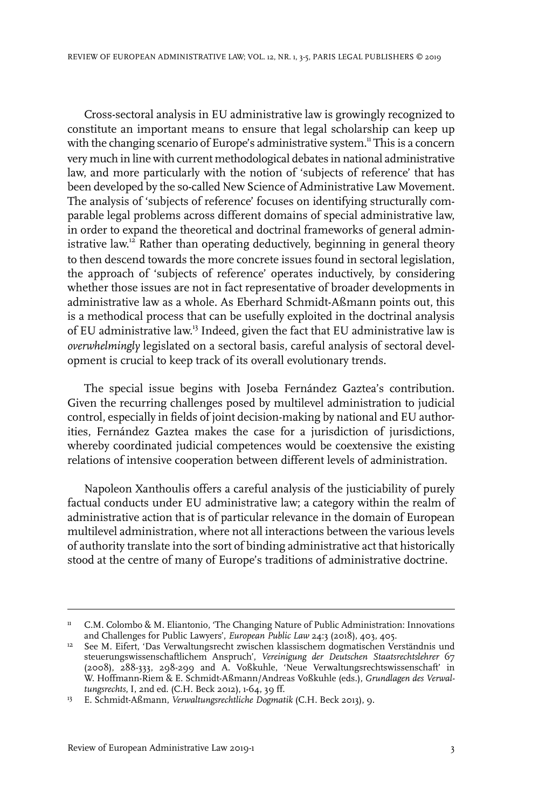Cross-sectoral analysis in EU administrative law is growingly recognized to constitute an important means to ensure that legal scholarship can keep up with the changing scenario of Europe's administrative system.<sup>11</sup> This is a concern very much in line with current methodological debates in national administrative law, and more particularly with the notion of 'subjects of reference' that has been developed by the so-called New Science of Administrative Law Movement. The analysis of 'subjects of reference' focuses on identifying structurally comparable legal problems across different domains of special administrative law, in order to expand the theoretical and doctrinal frameworks of general administrative law. <sup>12</sup> Rather than operating deductively, beginning in general theory to then descend towards the more concrete issues found in sectoral legislation, the approach of 'subjects of reference' operates inductively, by considering whether those issues are not in fact representative of broader developments in administrative law as a whole. As Eberhard Schmidt-Aßmann points out, this is a methodical process that can be usefully exploited in the doctrinal analysis of EU administrative law.<sup>13</sup> Indeed, given the fact that EU administrative law is *overwhelmingly* legislated on a sectoral basis, careful analysis of sectoral development is crucial to keep track of its overall evolutionary trends.

The special issue begins with Joseba Fernández Gaztea's contribution. Given the recurring challenges posed by multilevel administration to judicial control, especially in fields of joint decision-making by national and EU authorities, Fernández Gaztea makes the case for a jurisdiction of jurisdictions, whereby coordinated judicial competences would be coextensive the existing relations of intensive cooperation between different levels of administration.

Napoleon Xanthoulis offers a careful analysis of the justiciability of purely factual conducts under EU administrative law; a category within the realm of administrative action that is of particular relevance in the domain of European multilevel administration, where not all interactions between the various levels of authority translate into the sort of binding administrative act that historically stood at the centre of many of Europe's traditions of administrative doctrine.

<sup>&</sup>lt;sup>11</sup> C.M. Colombo & M. Eliantonio, 'The Changing Nature of Public Administration: Innovations and Challenges for Public Lawyers', *European Public Law* 24:3 (2018), 403, 405.

<sup>&</sup>lt;sup>12</sup> See M. Eifert, 'Das Verwaltungsrecht zwischen klassischem dogmatischen Verständnis und steuerungswissenschaftlichem Anspruch', *Vereinigung der Deutschen Staatsrechtslehrer* 67 (2008), 288-333, 298-299 and A. Voßkuhle, 'Neue Verwaltungsrechtswissenschaft' in W. Hoffmann-Riem & E. Schmidt-Aßmann/Andreas Voßkuhle (eds.), *Grundlagen des Verwaltungsrechts*,I, 2nd ed. (C.H. Beck 2012), 1-64, 39 ff.

E. Schmidt-Aßmann, *Verwaltungsrechtliche Dogmatik* (C.H. Beck 2013), 9. <sup>13</sup>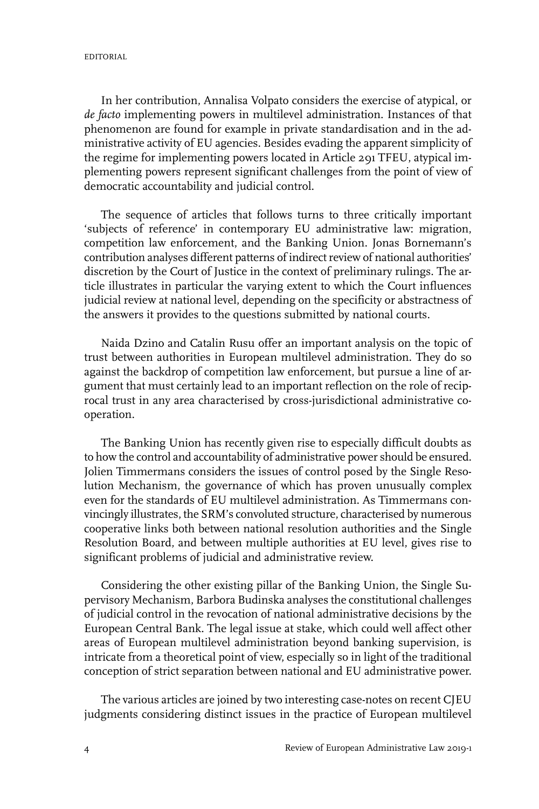In her contribution, Annalisa Volpato considers the exercise of atypical, or *de facto* implementing powers in multilevel administration. Instances of that phenomenon are found for example in private standardisation and in the administrative activity of EU agencies. Besides evading the apparent simplicity of the regime for implementing powers located in Article 291 TFEU, atypical implementing powers represent significant challenges from the point of view of democratic accountability and judicial control.

The sequence of articles that follows turns to three critically important 'subjects of reference' in contemporary EU administrative law: migration, competition law enforcement, and the Banking Union. Jonas Bornemann's contribution analyses different patterns of indirect review of national authorities' discretion by the Court of Justice in the context of preliminary rulings. The article illustrates in particular the varying extent to which the Court influences judicial review at national level, depending on the specificity or abstractness of the answers it provides to the questions submitted by national courts.

Naida Dzino and Catalin Rusu offer an important analysis on the topic of trust between authorities in European multilevel administration. They do so against the backdrop of competition law enforcement, but pursue a line of argument that must certainly lead to an important reflection on the role of reciprocal trust in any area characterised by cross-jurisdictional administrative cooperation.

The Banking Union has recently given rise to especially difficult doubts as to how the control and accountability of administrative power should be ensured. Jolien Timmermans considers the issues of control posed by the Single Resolution Mechanism, the governance of which has proven unusually complex even for the standards of EU multilevel administration. As Timmermans convincingly illustrates, the SRM's convoluted structure, characterised by numerous cooperative links both between national resolution authorities and the Single Resolution Board, and between multiple authorities at EU level, gives rise to significant problems of judicial and administrative review.

Considering the other existing pillar of the Banking Union, the Single Supervisory Mechanism, Barbora Budinska analyses the constitutional challenges of judicial control in the revocation of national administrative decisions by the European Central Bank. The legal issue at stake, which could well affect other areas of European multilevel administration beyond banking supervision, is intricate from a theoretical point of view, especially so in light of the traditional conception of strict separation between national and EU administrative power.

The various articles are joined by two interesting case-notes on recent CJEU judgments considering distinct issues in the practice of European multilevel